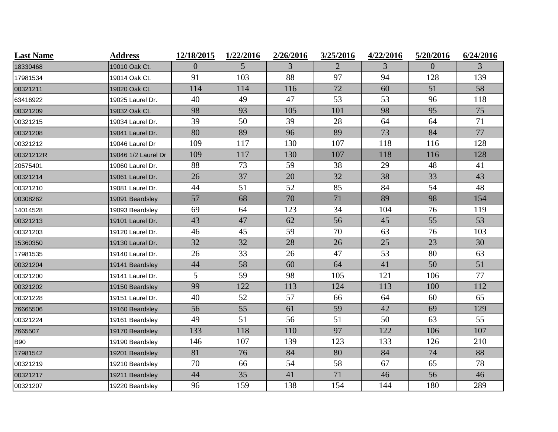| <b>Last Name</b> | <b>Address</b>      | 12/18/2015     | 1/22/2016 | 2/26/2016 | 3/25/2016 | 4/22/2016 | 5/20/2016 | 6/24/2016 |
|------------------|---------------------|----------------|-----------|-----------|-----------|-----------|-----------|-----------|
| 18330468         | 19010 Oak Ct.       | $\overline{0}$ | 5         | 3         | 2         | 3         | $\Omega$  | 3         |
| 17981534         | 19014 Oak Ct.       | 91             | 103       | 88        | 97        | 94        | 128       | 139       |
| 00321211         | 19020 Oak Ct.       | 114            | 114       | 116       | 72        | 60        | 51        | 58        |
| 63416922         | 19025 Laurel Dr.    | 40             | 49        | 47        | 53        | 53        | 96        | 118       |
| 00321209         | 19032 Oak Ct.       | 98             | 93        | 105       | 101       | 98        | 95        | 75        |
| 00321215         | 19034 Laurel Dr.    | 39             | 50        | 39        | 28        | 64        | 64        | 71        |
| 00321208         | 19041 Laurel Dr.    | 80             | 89        | 96        | 89        | 73        | 84        | 77        |
| 00321212         | 19046 Laurel Dr     | 109            | 117       | 130       | 107       | 118       | 116       | 128       |
| 00321212R        | 19046 1/2 Laurel Dr | 109            | 117       | 130       | 107       | 118       | 116       | 128       |
| 20575401         | 19060 Laurel Dr.    | 88             | 73        | 59        | 38        | 29        | 48        | 41        |
| 00321214         | 19061 Laurel Dr.    | 26             | 37        | 20        | 32        | 38        | 33        | 43        |
| 00321210         | 19081 Laurel Dr.    | 44             | 51        | 52        | 85        | 84        | 54        | 48        |
| 00308262         | 19091 Beardsley     | 57             | 68        | 70        | 71        | 89        | 98        | 154       |
| 14014528         | 19093 Beardsley     | 69             | 64        | 123       | 34        | 104       | 76        | 119       |
| 00321213         | 19101 Laurel Dr.    | 43             | 47        | 62        | 56        | 45        | 55        | 53        |
| 00321203         | 19120 Laurel Dr.    | 46             | 45        | 59        | 70        | 63        | 76        | 103       |
| 15360350         | 19130 Laural Dr.    | 32             | 32        | 28        | 26        | 25        | 23        | 30        |
| 17981535         | 19140 Laural Dr.    | 26             | 33        | 26        | 47        | 53        | 80        | 63        |
| 00321204         | 19141 Beardsley     | 44             | 58        | 60        | 64        | 41        | 50        | 51        |
| 00321200         | 19141 Laurel Dr.    | 5              | 59        | 98        | 105       | 121       | 106       | 77        |
| 00321202         | 19150 Beardsley     | 99             | 122       | 113       | 124       | 113       | 100       | 112       |
| 00321228         | 19151 Laurel Dr.    | 40             | 52        | 57        | 66        | 64        | 60        | 65        |
| 76665506         | 19160 Beardsley     | 56             | 55        | 61        | 59        | 42        | 69        | 129       |
| 00321224         | 19161 Beardsley     | 49             | 51        | 56        | 51        | 50        | 63        | 55        |
| 7665507          | 19170 Beardsley     | 133            | 118       | 110       | 97        | 122       | 106       | 107       |
| <b>B90</b>       | 19190 Beardsley     | 146            | 107       | 139       | 123       | 133       | 126       | 210       |
| 17981542         | 19201 Beardsley     | 81             | 76        | 84        | 80        | 84        | 74        | 88        |
| 00321219         | 19210 Beardsley     | 70             | 66        | 54        | 58        | 67        | 65        | 78        |
| 00321217         | 19211 Beardsley     | 44             | 35        | 41        | 71        | 46        | 56        | 46        |
| 00321207         | 19220 Beardsley     | 96             | 159       | 138       | 154       | 144       | 180       | 289       |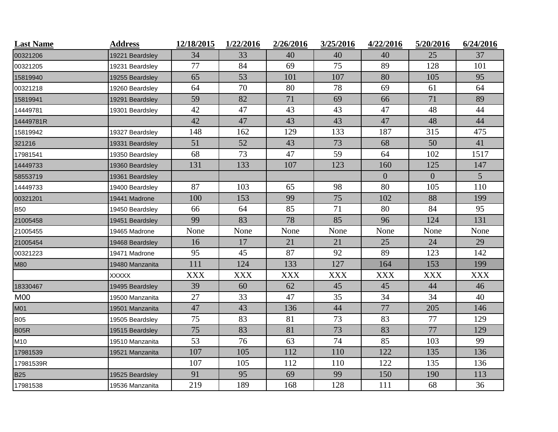| <b>Last Name</b> | <b>Address</b>  | 12/18/2015 | 1/22/2016  | 2/26/2016  | 3/25/2016  | 4/22/2016    | 5/20/2016      | 6/24/2016  |
|------------------|-----------------|------------|------------|------------|------------|--------------|----------------|------------|
| 00321206         | 19221 Beardsley | 34         | 33         | 40         | 40         | 40           | 25             | 37         |
| 00321205         | 19231 Beardsley | 77         | 84         | 69         | 75         | 89           | 128            | 101        |
| 15819940         | 19255 Beardsley | 65         | 53         | 101        | 107        | 80           | 105            | 95         |
| 00321218         | 19260 Beardsley | 64         | 70         | 80         | 78         | 69           | 61             | 64         |
| 15819941         | 19291 Beardsley | 59         | 82         | 71         | 69         | 66           | 71             | 89         |
| 14449781         | 19301 Beardsley | 42         | 47         | 43         | 43         | 47           | 48             | 44         |
| 14449781R        |                 | 42         | 47         | 43         | 43         | 47           | 48             | 44         |
| 15819942         | 19327 Beardsley | 148        | 162        | 129        | 133        | 187          | 315            | 475        |
| 321216           | 19331 Beardsley | 51         | 52         | 43         | 73         | 68           | 50             | 41         |
| 17981541         | 19350 Beardsley | 68         | 73         | 47         | 59         | 64           | 102            | 1517       |
| 14449733         | 19360 Beardsley | 131        | 133        | 107        | 123        | 160          | 125            | 147        |
| 58553719         | 19361 Beardsley |            |            |            |            | $\mathbf{0}$ | $\overline{0}$ | 5          |
| 14449733         | 19400 Beardsley | 87         | 103        | 65         | 98         | 80           | 105            | 110        |
| 00321201         | 19441 Madrone   | 100        | 153        | 99         | 75         | 102          | 88             | 199        |
| B50              | 19450 Beardsley | 66         | 64         | 85         | 71         | 80           | 84             | 95         |
| 21005458         | 19451 Beardsley | 99         | 83         | 78         | 85         | 96           | 124            | 131        |
| 21005455         | 19465 Madrone   | None       | None       | None       | None       | None         | None           | None       |
| 21005454         | 19468 Beardsley | 16         | 17         | 21         | 21         | 25           | 24             | 29         |
| 00321223         | 19471 Madrone   | 95         | 45         | 87         | 92         | 89           | 123            | 142        |
| M80              | 19480 Manzanita | 111        | 124        | 133        | 127        | 164          | 153            | 199        |
|                  | XXXXX           | <b>XXX</b> | <b>XXX</b> | <b>XXX</b> | <b>XXX</b> | <b>XXX</b>   | <b>XXX</b>     | <b>XXX</b> |
| 18330467         | 19495 Beardsley | 39         | 60         | 62         | 45         | 45           | 44             | 46         |
| M00              | 19500 Manzanita | 27         | 33         | 47         | 35         | 34           | 34             | 40         |
| M01              | 19501 Manzanita | 47         | 43         | 136        | 44         | 77           | 205            | 146        |
| <b>B05</b>       | 19505 Beardsley | 75         | 83         | 81         | 73         | 83           | 77             | 129        |
| B05R             | 19515 Beardsley | 75         | 83         | 81         | 73         | 83           | 77             | 129        |
| M10              | 19510 Manzanita | 53         | 76         | 63         | 74         | 85           | 103            | 99         |
| 17981539         | 19521 Manzanita | 107        | 105        | 112        | 110        | 122          | 135            | 136        |
| 17981539R        |                 | 107        | 105        | 112        | 110        | 122          | 135            | 136        |
| <b>B25</b>       | 19525 Beardsley | 91         | 95         | 69         | 99         | 150          | 190            | 113        |
| 17981538         | 19536 Manzanita | 219        | 189        | 168        | 128        | 111          | 68             | 36         |